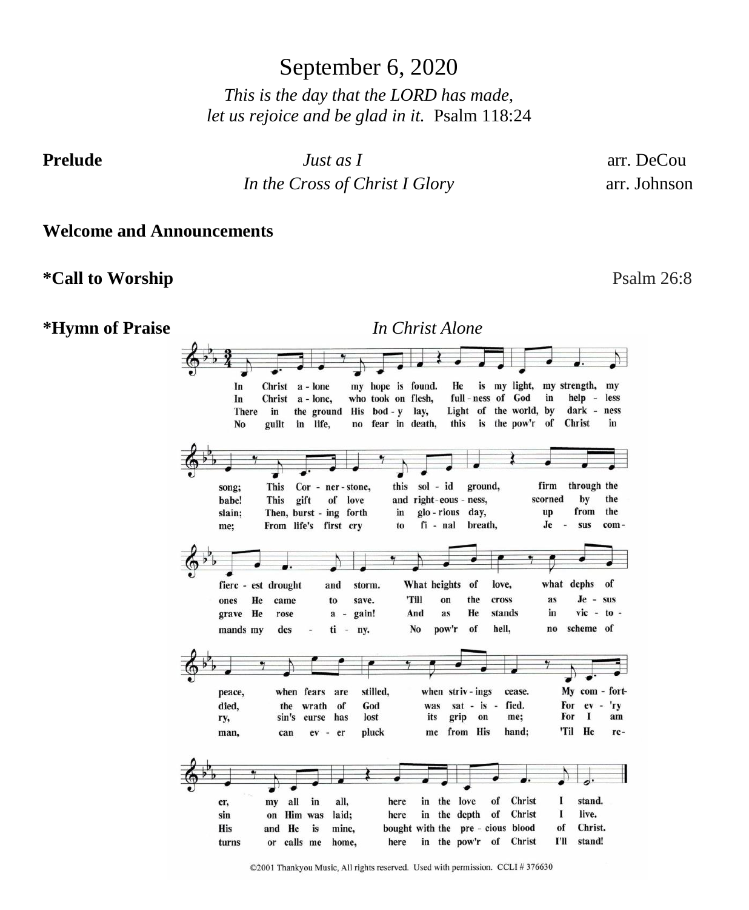September 6, 2020

*This is the day that the LORD has made, let us rejoice and be glad in it.* Psalm 118:24

**Prelude** *<i>Just as I**arr.* **DeCou** *In the Cross of Christ I Glory* arr. Johnson

#### **Welcome and Announcements**

**\*Call to Worship** Psalm 26:8

**\*Hymn of Praise** *In Christ Alone* is my light, my strength, In Christ a - lone my hope is found. He my In Christ a - lone, who took on flesh, full-ness of God in help less Light of the world, by dark -There in the ground His bod - y lay, ness this is the pow'r of Christ No guilt in life, no fear in death, in this sol - id ground, firm through the song; This Cor - ner-stone, by the babe! This gift of love and right-eous - ness, scorned Then, burst - ing forth in glo-rious day, up from the slain: fi - nal breath, **Je** comme; From life's first cry to sus fierc - est drought and storm. What heights of love, what dephs - of **Till** on the as Je - sus ones He came to save. cross in  $vic - to$ grave He  $a$ gain! And as He stands rose ti - ny. No. pow'r of hell, no scheme of mands my des  $\overline{\phantom{a}}$ peace, when fears are stilled, when striv-ings cease. My com - fort $sat - is$ fied. For ev 'ry died, the wrath of God was  $\omega_{\rm c}$ For  $\mathbf{I}$ ry, sin's curse has lost its grip on me; am 'Til He man, can  $ev - er$ pluck me from His hand: re $m**v**$ all in all, here in the love of Christ I stand. er, Christ live. sin on Him was laid; in the depth of I here His bought with the pre - cious blood of Christ. and He is mine, in the pow'r of Christ I'll stand! or calls me home, here turns

©2001 Thankyou Music, All rights reserved. Used with permission. CCLI #376630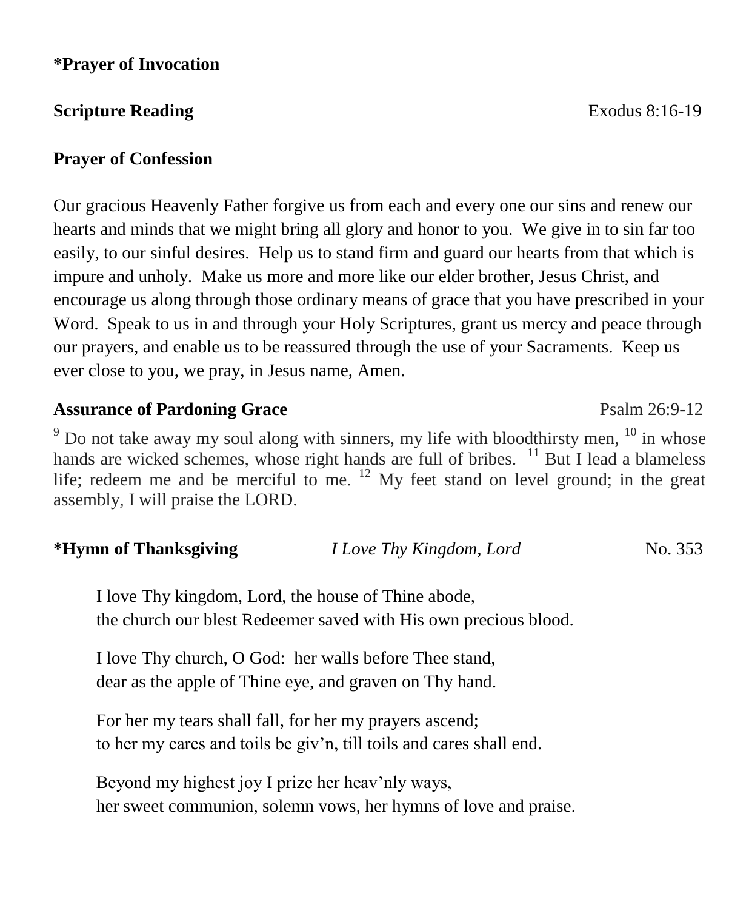# **\*Prayer of Invocation**

# **Scripture Reading Exodus 8:16-19 Exodus 8:16-19**

### **Prayer of Confession**

Our gracious Heavenly Father forgive us from each and every one our sins and renew our hearts and minds that we might bring all glory and honor to you. We give in to sin far too easily, to our sinful desires. Help us to stand firm and guard our hearts from that which is impure and unholy. Make us more and more like our elder brother, Jesus Christ, and encourage us along through those ordinary means of grace that you have prescribed in your Word. Speak to us in and through your Holy Scriptures, grant us mercy and peace through our prayers, and enable us to be reassured through the use of your Sacraments. Keep us ever close to you, we pray, in Jesus name, Amen.

# **Assurance of Pardoning Grace** Psalm 26:9-12

 $9^{9}$  Do not take away my soul along with sinners, my life with bloodthirsty men,  $10^{10}$  in whose hands are wicked schemes, whose right hands are full of bribes. <sup>11</sup> But I lead a blameless life; redeem me and be merciful to me.  $^{12}$  My feet stand on level ground; in the great assembly, I will praise the LORD.

| *Hymn of Thanksgiving | I Love Thy Kingdom, Lord | No. 353 |
|-----------------------|--------------------------|---------|
|                       |                          |         |

I love Thy kingdom, Lord, the house of Thine abode, the church our blest Redeemer saved with His own precious blood.

I love Thy church, O God: her walls before Thee stand, dear as the apple of Thine eye, and graven on Thy hand.

For her my tears shall fall, for her my prayers ascend; to her my cares and toils be giv'n, till toils and cares shall end.

Beyond my highest joy I prize her heav'nly ways, her sweet communion, solemn vows, her hymns of love and praise.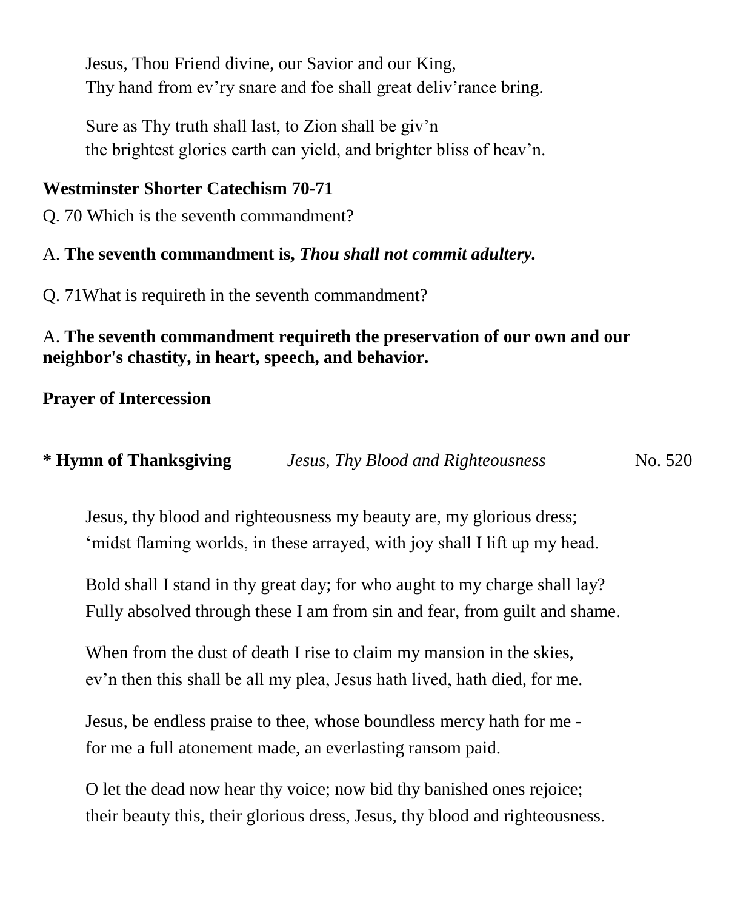Jesus, Thou Friend divine, our Savior and our King, Thy hand from ev'ry snare and foe shall great deliv'rance bring.

Sure as Thy truth shall last, to Zion shall be giv'n the brightest glories earth can yield, and brighter bliss of heav'n.

# **Westminster Shorter Catechism 70-71**

Q. 70 Which is the seventh commandment?

A. **The seventh commandment is,** *Thou shall not commit adultery.*

Q. 71What is requireth in the seventh commandment?

A. **The seventh commandment requireth the preservation of our own and our neighbor's chastity, in heart, speech, and behavior.**

**Prayer of Intercession**

| * Hymn of Thanksgiving | Jesus, Thy Blood and Righteousness | No. 520 |
|------------------------|------------------------------------|---------|
|------------------------|------------------------------------|---------|

Jesus, thy blood and righteousness my beauty are, my glorious dress; 'midst flaming worlds, in these arrayed, with joy shall I lift up my head.

Bold shall I stand in thy great day; for who aught to my charge shall lay? Fully absolved through these I am from sin and fear, from guilt and shame.

When from the dust of death I rise to claim my mansion in the skies, ev'n then this shall be all my plea, Jesus hath lived, hath died, for me.

Jesus, be endless praise to thee, whose boundless mercy hath for me for me a full atonement made, an everlasting ransom paid.

O let the dead now hear thy voice; now bid thy banished ones rejoice; their beauty this, their glorious dress, Jesus, thy blood and righteousness.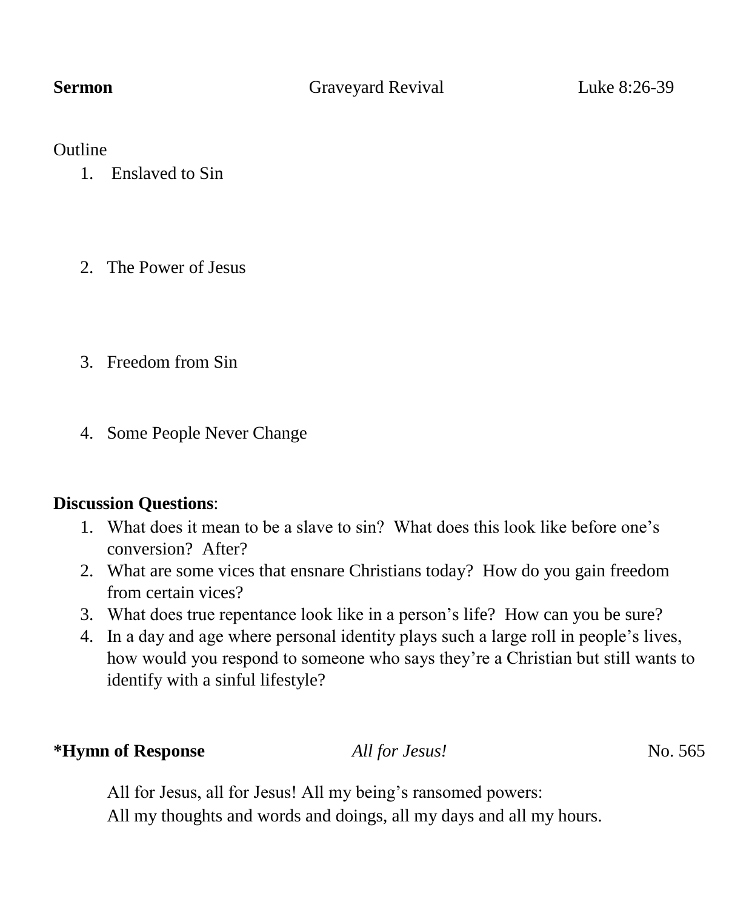**Outline** 

- 1. Enslaved to Sin
- 2. The Power of Jesus
- 3. Freedom from Sin
- 4. Some People Never Change

# **Discussion Questions**:

- 1. What does it mean to be a slave to sin? What does this look like before one's conversion? After?
- 2. What are some vices that ensnare Christians today? How do you gain freedom from certain vices?
- 3. What does true repentance look like in a person's life? How can you be sure?
- 4. In a day and age where personal identity plays such a large roll in people's lives, how would you respond to someone who says they're a Christian but still wants to identify with a sinful lifestyle?

#### **\*Hymn of Response** *All for Jesus!* No. 565

All for Jesus, all for Jesus! All my being's ransomed powers:

All my thoughts and words and doings, all my days and all my hours.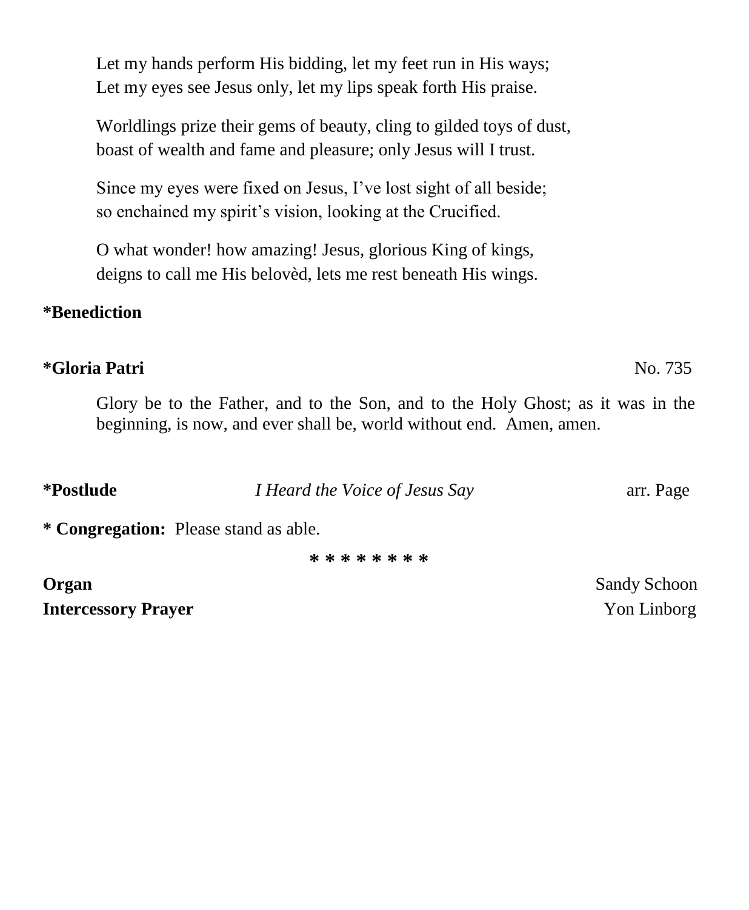Let my hands perform His bidding, let my feet run in His ways; Let my eyes see Jesus only, let my lips speak forth His praise.

Worldlings prize their gems of beauty, cling to gilded toys of dust, boast of wealth and fame and pleasure; only Jesus will I trust.

Since my eyes were fixed on Jesus, I've lost sight of all beside; so enchained my spirit's vision, looking at the Crucified.

O what wonder! how amazing! Jesus, glorious King of kings, deigns to call me His belovèd, lets me rest beneath His wings.

#### **\*Benediction**

# **\*Gloria Patri** No. 735

Glory be to the Father, and to the Son, and to the Holy Ghost; as it was in the beginning, is now, and ever shall be, world without end. Amen, amen.

**\*Postlude** *I Heard the Voice of Jesus Say* arr. Page **\* Congregation:** Please stand as able.

**\* \* \* \* \* \* \* \***

**Organ** Sandy Schoon **Intercessory Prayer** No. 2008 **Yon Lindong**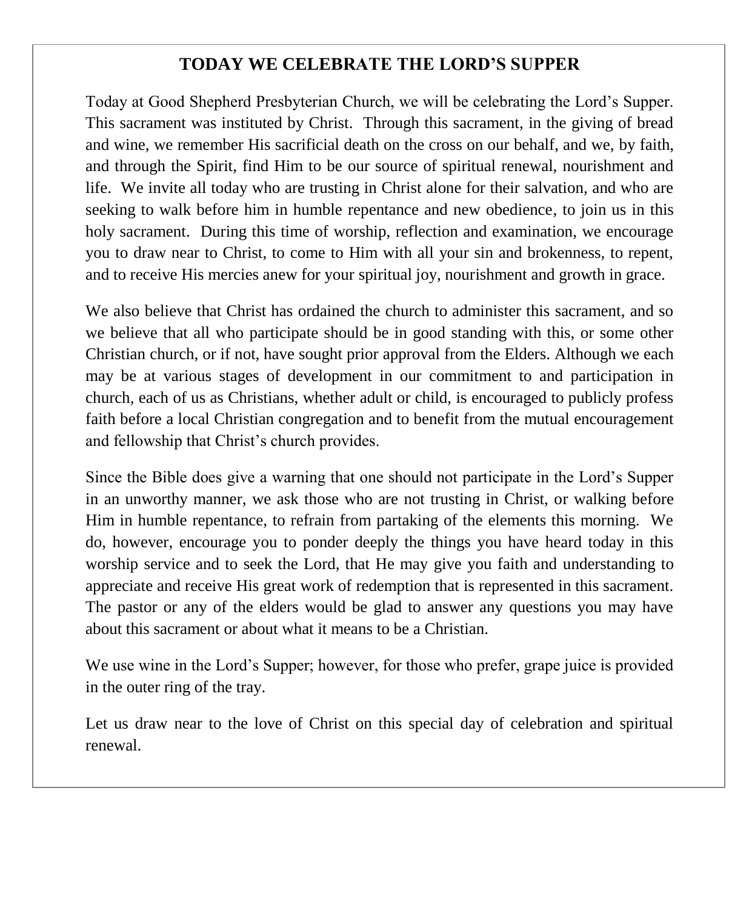# **TODAY WE CELEBRATE THE LORD'S SUPPER**

Today at Good Shepherd Presbyterian Church, we will be celebrating the Lord's Supper. This sacrament was instituted by Christ. Through this sacrament, in the giving of bread and wine, we remember His sacrificial death on the cross on our behalf, and we, by faith, and through the Spirit, find Him to be our source of spiritual renewal, nourishment and life. We invite all today who are trusting in Christ alone for their salvation, and who are seeking to walk before him in humble repentance and new obedience, to join us in this holy sacrament. During this time of worship, reflection and examination, we encourage you to draw near to Christ, to come to Him with all your sin and brokenness, to repent, and to receive His mercies anew for your spiritual joy, nourishment and growth in grace.

We also believe that Christ has ordained the church to administer this sacrament, and so we believe that all who participate should be in good standing with this, or some other Christian church, or if not, have sought prior approval from the Elders. Although we each may be at various stages of development in our commitment to and participation in church, each of us as Christians, whether adult or child, is encouraged to publicly profess faith before a local Christian congregation and to benefit from the mutual encouragement and fellowship that Christ's church provides.

Since the Bible does give a warning that one should not participate in the Lord's Supper in an unworthy manner, we ask those who are not trusting in Christ, or walking before Him in humble repentance, to refrain from partaking of the elements this morning. We do, however, encourage you to ponder deeply the things you have heard today in this worship service and to seek the Lord, that He may give you faith and understanding to appreciate and receive His great work of redemption that is represented in this sacrament. The pastor or any of the elders would be glad to answer any questions you may have about this sacrament or about what it means to be a Christian.

We use wine in the Lord's Supper; however, for those who prefer, grape juice is provided in the outer ring of the tray.

Let us draw near to the love of Christ on this special day of celebration and spiritual renewal.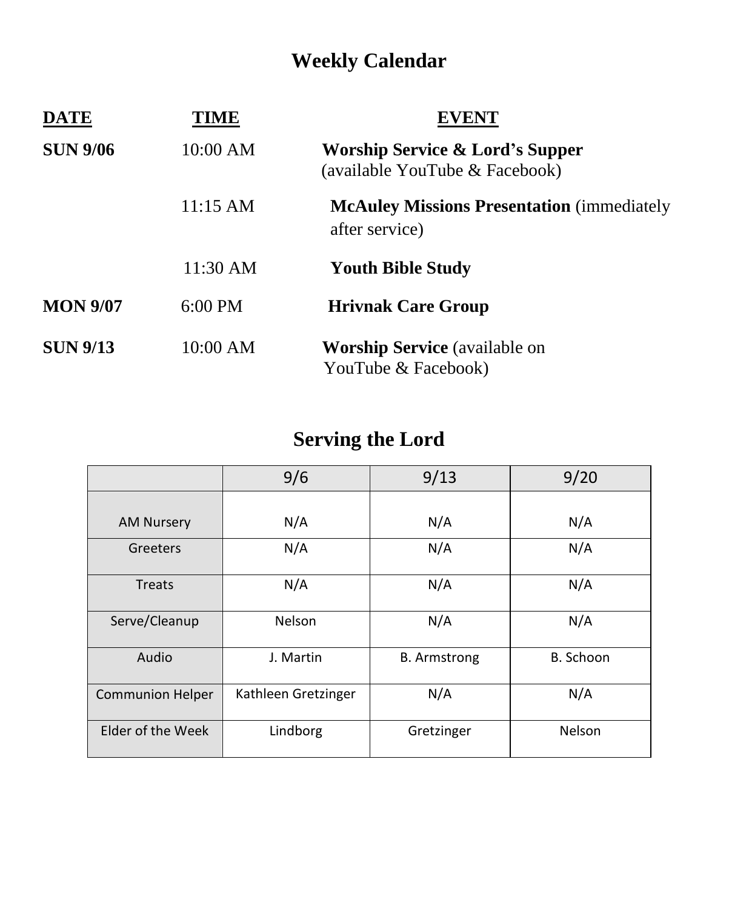# **Weekly Calendar**

| <b>DATE</b>     | TIME              | <b>EVENT</b>                                                                 |
|-----------------|-------------------|------------------------------------------------------------------------------|
| <b>SUN 9/06</b> | 10:00 AM          | <b>Worship Service &amp; Lord's Supper</b><br>(available YouTube & Facebook) |
|                 | 11:15 AM          | <b>McAuley Missions Presentation</b> (immediately<br>after service)          |
|                 | 11:30 AM          | <b>Youth Bible Study</b>                                                     |
| <b>MON 9/07</b> | $6:00 \text{ PM}$ | <b>Hrivnak Care Group</b>                                                    |
| <b>SUN 9/13</b> | 10:00 AM          | <b>Worship Service</b> (available on<br>YouTube & Facebook)                  |

# **Serving the Lord**

|                         | 9/6                 | 9/13                | 9/20      |
|-------------------------|---------------------|---------------------|-----------|
|                         |                     |                     |           |
| <b>AM Nursery</b>       | N/A                 | N/A                 | N/A       |
| Greeters                | N/A                 | N/A                 | N/A       |
| <b>Treats</b>           | N/A                 | N/A                 | N/A       |
| Serve/Cleanup           | Nelson              | N/A                 | N/A       |
| Audio                   | J. Martin           | <b>B.</b> Armstrong | B. Schoon |
| <b>Communion Helper</b> | Kathleen Gretzinger | N/A                 | N/A       |
| Elder of the Week       | Lindborg            | Gretzinger          | Nelson    |